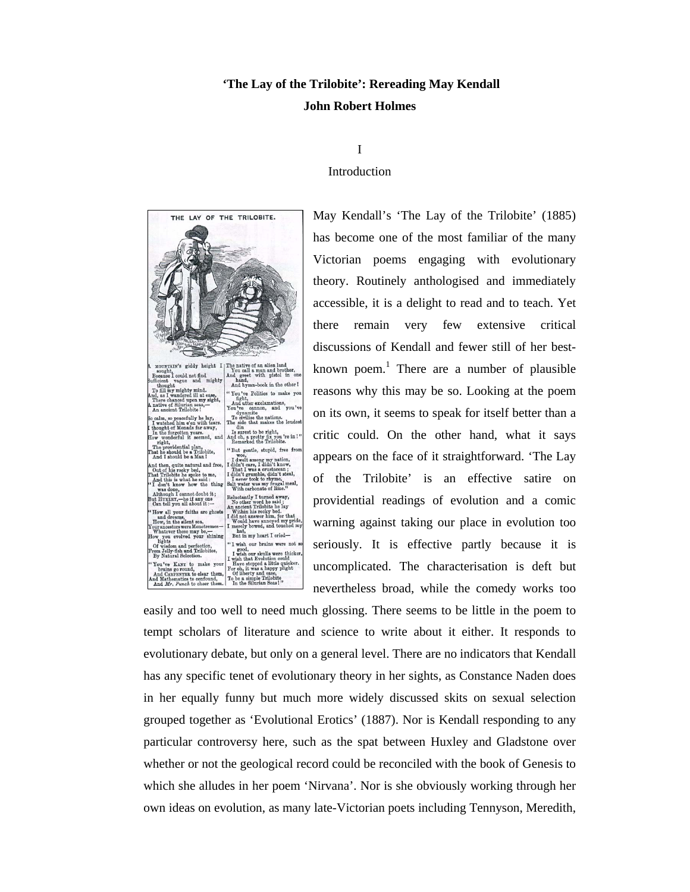# **'The Lay of the Trilobite': Rereading May Kendall John Robert Holmes**

# I

#### Introduction



May Kendall's 'The Lay of the Trilobite' (1885) has become one of the most familiar of the many Victorian poems engaging with evolutionary theory. Routinely anthologised and immediately accessible, it is a delight to read and to teach. Yet there remain very few extensive critical discussions of Kendall and fewer still of her bestknown poem.<sup>1</sup> There are a number of plausible reasons why this may be so. Looking at the poem on its own, it seems to speak for itself better than a critic could. On the other hand, what it says appears on the face of it straightforward. 'The Lay of the Trilobite' is an effective satire on providential readings of evolution and a comic warning against taking our place in evolution too seriously. It is effective partly because it is uncomplicated. The characterisation is deft but nevertheless broad, while the comedy works too

easily and too well to need much glossing. There seems to be little in the poem to tempt scholars of literature and science to write about it either. It responds to evolutionary debate, but only on a general level. There are no indicators that Kendall has any specific tenet of evolutionary theory in her sights, as Constance Naden does in her equally funny but much more widely discussed skits on sexual selection grouped together as 'Evolutional Erotics' (1887). Nor is Kendall responding to any particular controversy here, such as the spat between Huxley and Gladstone over whether or not the geological record could be reconciled with the book of Genesis to which she alludes in her poem 'Nirvana'. Nor is she obviously working through her own ideas on evolution, as many late-Victorian poets including Tennyson, Meredith,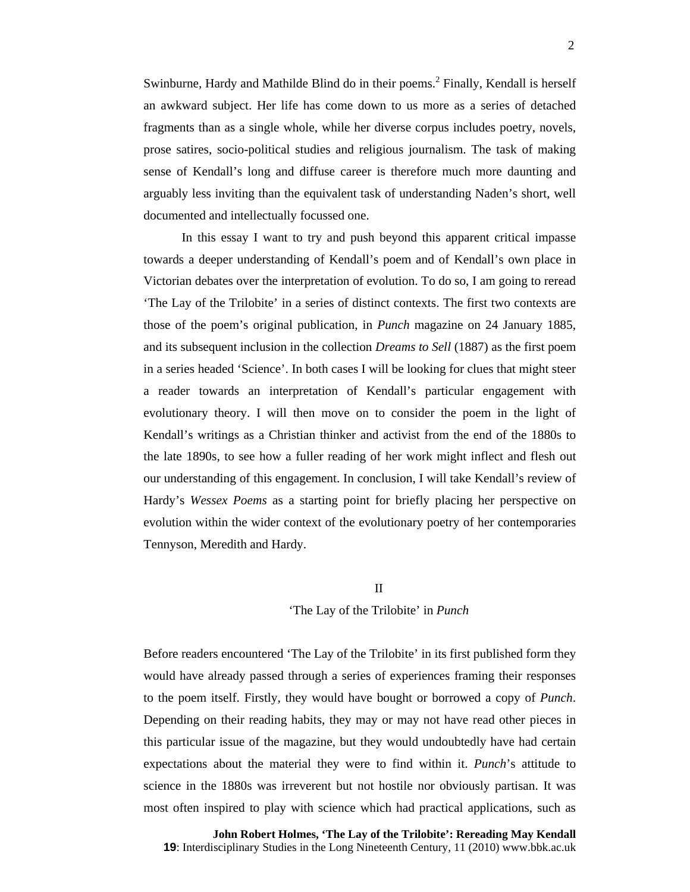Swinburne, Hardy and Mathilde Blind do in their poems.<sup>2</sup> Finally, Kendall is herself an awkward subject. Her life has come down to us more as a series of detached fragments than as a single whole, while her diverse corpus includes poetry, novels, prose satires, socio-political studies and religious journalism. The task of making sense of Kendall's long and diffuse career is therefore much more daunting and arguably less inviting than the equivalent task of understanding Naden's short, well documented and intellectually focussed one.

In this essay I want to try and push beyond this apparent critical impasse towards a deeper understanding of Kendall's poem and of Kendall's own place in Victorian debates over the interpretation of evolution. To do so, I am going to reread 'The Lay of the Trilobite' in a series of distinct contexts. The first two contexts are those of the poem's original publication, in *Punch* magazine on 24 January 1885, and its subsequent inclusion in the collection *Dreams to Sell* (1887) as the first poem in a series headed 'Science'. In both cases I will be looking for clues that might steer a reader towards an interpretation of Kendall's particular engagement with evolutionary theory. I will then move on to consider the poem in the light of Kendall's writings as a Christian thinker and activist from the end of the 1880s to the late 1890s, to see how a fuller reading of her work might inflect and flesh out our understanding of this engagement. In conclusion, I will take Kendall's review of Hardy's *Wessex Poems* as a starting point for briefly placing her perspective on evolution within the wider context of the evolutionary poetry of her contemporaries Tennyson, Meredith and Hardy.

### II

#### 'The Lay of the Trilobite' in *Punch*

Before readers encountered 'The Lay of the Trilobite' in its first published form they would have already passed through a series of experiences framing their responses to the poem itself. Firstly, they would have bought or borrowed a copy of *Punch*. Depending on their reading habits, they may or may not have read other pieces in this particular issue of the magazine, but they would undoubtedly have had certain expectations about the material they were to find within it. *Punch*'s attitude to science in the 1880s was irreverent but not hostile nor obviously partisan. It was most often inspired to play with science which had practical applications, such as

**John Robert Holmes, 'The Lay of the Trilobite': Rereading May Kendall 19**: Interdisciplinary Studies in the Long Nineteenth Century, 11 (2010) www.bbk.ac.uk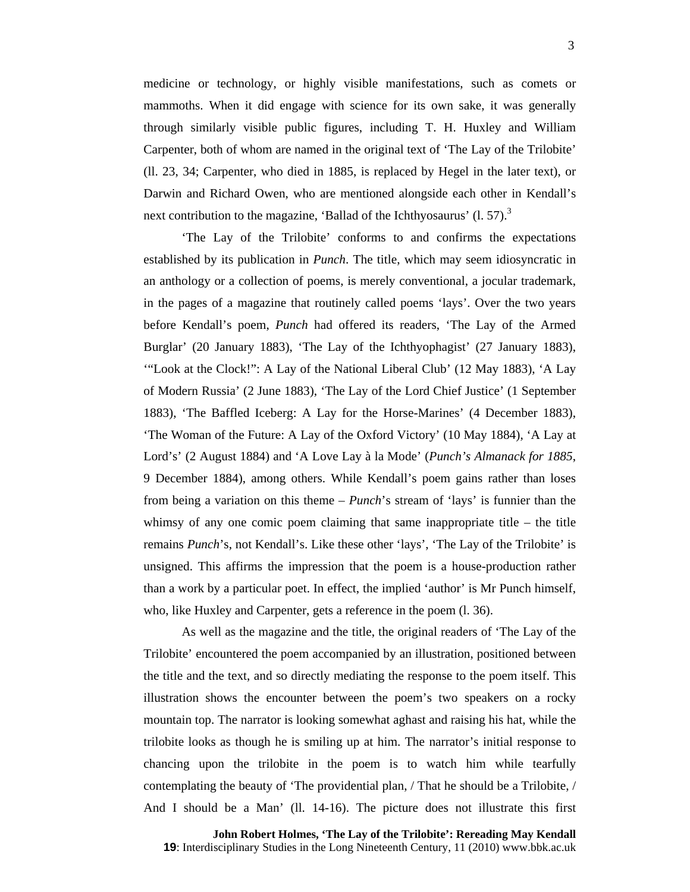medicine or technology, or highly visible manifestations, such as comets or mammoths. When it did engage with science for its own sake, it was generally through similarly visible public figures, including T. H. Huxley and William Carpenter, both of whom are named in the original text of 'The Lay of the Trilobite' (ll. 23, 34; Carpenter, who died in 1885, is replaced by Hegel in the later text), or Darwin and Richard Owen, who are mentioned alongside each other in Kendall's next contribution to the magazine, 'Ballad of the Ichthyosaurus'  $(1.57)$ .<sup>3</sup>

 'The Lay of the Trilobite' conforms to and confirms the expectations established by its publication in *Punch*. The title, which may seem idiosyncratic in an anthology or a collection of poems, is merely conventional, a jocular trademark, in the pages of a magazine that routinely called poems 'lays'. Over the two years before Kendall's poem, *Punch* had offered its readers, 'The Lay of the Armed Burglar' (20 January 1883), 'The Lay of the Ichthyophagist' (27 January 1883), '"Look at the Clock!": A Lay of the National Liberal Club' (12 May 1883), 'A Lay of Modern Russia' (2 June 1883), 'The Lay of the Lord Chief Justice' (1 September 1883), 'The Baffled Iceberg: A Lay for the Horse-Marines' (4 December 1883), 'The Woman of the Future: A Lay of the Oxford Victory' (10 May 1884), 'A Lay at Lord's' (2 August 1884) and 'A Love Lay à la Mode' (*Punch's Almanack for 1885*, 9 December 1884), among others. While Kendall's poem gains rather than loses from being a variation on this theme – *Punch*'s stream of 'lays' is funnier than the whimsy of any one comic poem claiming that same inappropriate title – the title remains *Punch*'s, not Kendall's. Like these other 'lays', 'The Lay of the Trilobite' is unsigned. This affirms the impression that the poem is a house-production rather than a work by a particular poet. In effect, the implied 'author' is Mr Punch himself, who, like Huxley and Carpenter, gets a reference in the poem (l. 36).

 As well as the magazine and the title, the original readers of 'The Lay of the Trilobite' encountered the poem accompanied by an illustration, positioned between the title and the text, and so directly mediating the response to the poem itself. This illustration shows the encounter between the poem's two speakers on a rocky mountain top. The narrator is looking somewhat aghast and raising his hat, while the trilobite looks as though he is smiling up at him. The narrator's initial response to chancing upon the trilobite in the poem is to watch him while tearfully contemplating the beauty of 'The providential plan, / That he should be a Trilobite, / And I should be a Man' (ll. 14-16). The picture does not illustrate this first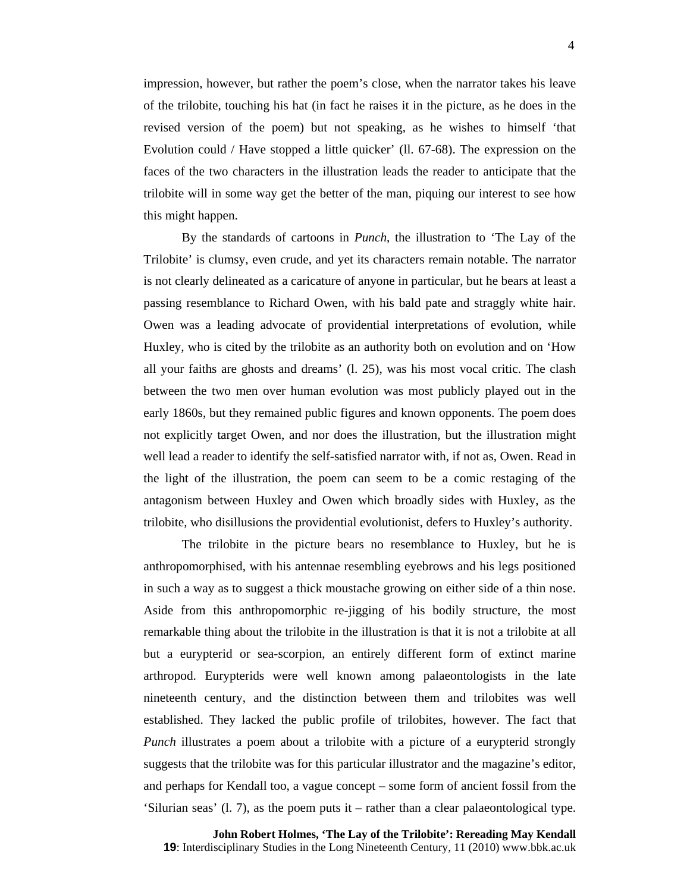impression, however, but rather the poem's close, when the narrator takes his leave of the trilobite, touching his hat (in fact he raises it in the picture, as he does in the revised version of the poem) but not speaking, as he wishes to himself 'that Evolution could / Have stopped a little quicker' (ll. 67-68). The expression on the faces of the two characters in the illustration leads the reader to anticipate that the trilobite will in some way get the better of the man, piquing our interest to see how this might happen.

 By the standards of cartoons in *Punch*, the illustration to 'The Lay of the Trilobite' is clumsy, even crude, and yet its characters remain notable. The narrator is not clearly delineated as a caricature of anyone in particular, but he bears at least a passing resemblance to Richard Owen, with his bald pate and straggly white hair. Owen was a leading advocate of providential interpretations of evolution, while Huxley, who is cited by the trilobite as an authority both on evolution and on 'How all your faiths are ghosts and dreams' (l. 25), was his most vocal critic. The clash between the two men over human evolution was most publicly played out in the early 1860s, but they remained public figures and known opponents. The poem does not explicitly target Owen, and nor does the illustration, but the illustration might well lead a reader to identify the self-satisfied narrator with, if not as, Owen. Read in the light of the illustration, the poem can seem to be a comic restaging of the antagonism between Huxley and Owen which broadly sides with Huxley, as the trilobite, who disillusions the providential evolutionist, defers to Huxley's authority.

 The trilobite in the picture bears no resemblance to Huxley, but he is anthropomorphised, with his antennae resembling eyebrows and his legs positioned in such a way as to suggest a thick moustache growing on either side of a thin nose. Aside from this anthropomorphic re-jigging of his bodily structure, the most remarkable thing about the trilobite in the illustration is that it is not a trilobite at all but a eurypterid or sea-scorpion, an entirely different form of extinct marine arthropod. Eurypterids were well known among palaeontologists in the late nineteenth century, and the distinction between them and trilobites was well established. They lacked the public profile of trilobites, however. The fact that *Punch* illustrates a poem about a trilobite with a picture of a eurypterid strongly suggests that the trilobite was for this particular illustrator and the magazine's editor, and perhaps for Kendall too, a vague concept – some form of ancient fossil from the 'Silurian seas' (l. 7), as the poem puts it – rather than a clear palaeontological type.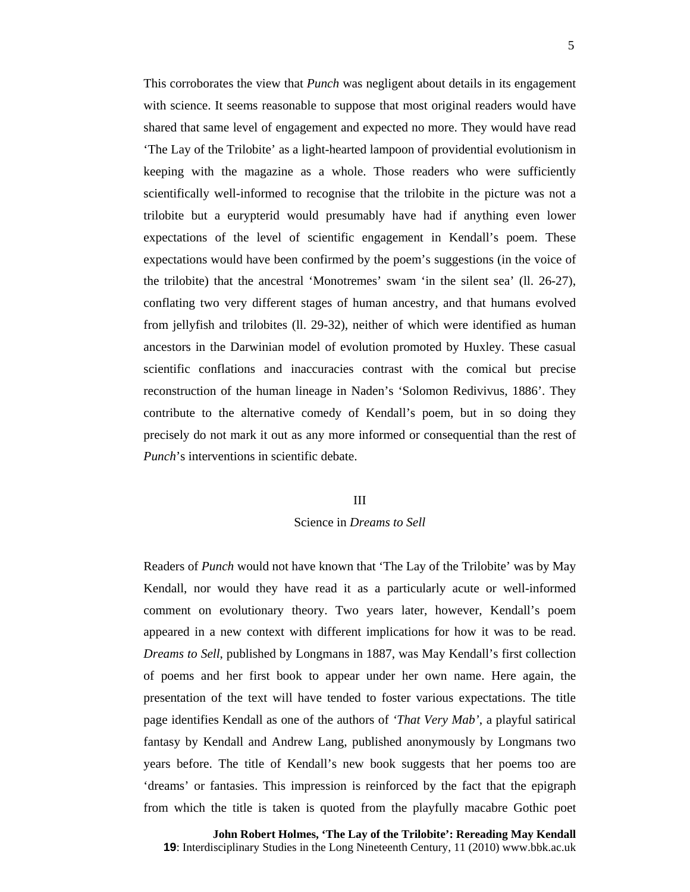This corroborates the view that *Punch* was negligent about details in its engagement with science. It seems reasonable to suppose that most original readers would have shared that same level of engagement and expected no more. They would have read 'The Lay of the Trilobite' as a light-hearted lampoon of providential evolutionism in keeping with the magazine as a whole. Those readers who were sufficiently scientifically well-informed to recognise that the trilobite in the picture was not a trilobite but a eurypterid would presumably have had if anything even lower expectations of the level of scientific engagement in Kendall's poem. These expectations would have been confirmed by the poem's suggestions (in the voice of the trilobite) that the ancestral 'Monotremes' swam 'in the silent sea' (ll. 26-27), conflating two very different stages of human ancestry, and that humans evolved from jellyfish and trilobites (ll. 29-32), neither of which were identified as human ancestors in the Darwinian model of evolution promoted by Huxley. These casual scientific conflations and inaccuracies contrast with the comical but precise reconstruction of the human lineage in Naden's 'Solomon Redivivus, 1886'. They contribute to the alternative comedy of Kendall's poem, but in so doing they precisely do not mark it out as any more informed or consequential than the rest of *Punch*'s interventions in scientific debate.

### III

## Science in *Dreams to Sell*

Readers of *Punch* would not have known that 'The Lay of the Trilobite' was by May Kendall, nor would they have read it as a particularly acute or well-informed comment on evolutionary theory. Two years later, however, Kendall's poem appeared in a new context with different implications for how it was to be read. *Dreams to Sell*, published by Longmans in 1887, was May Kendall's first collection of poems and her first book to appear under her own name. Here again, the presentation of the text will have tended to foster various expectations. The title page identifies Kendall as one of the authors of *'That Very Mab'*, a playful satirical fantasy by Kendall and Andrew Lang, published anonymously by Longmans two years before. The title of Kendall's new book suggests that her poems too are 'dreams' or fantasies. This impression is reinforced by the fact that the epigraph from which the title is taken is quoted from the playfully macabre Gothic poet

**John Robert Holmes, 'The Lay of the Trilobite': Rereading May Kendall 19**: Interdisciplinary Studies in the Long Nineteenth Century, 11 (2010) www.bbk.ac.uk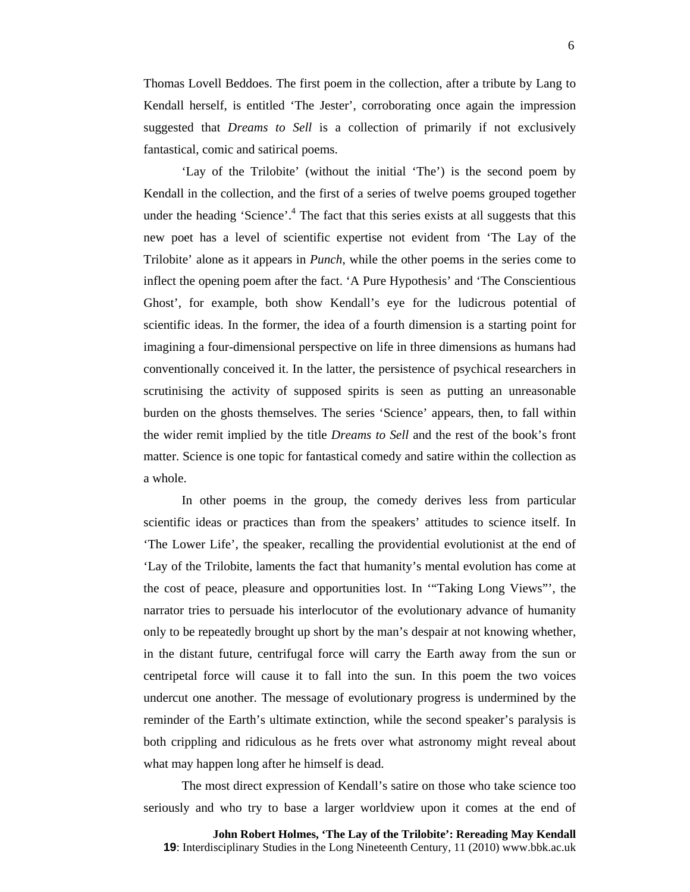Thomas Lovell Beddoes. The first poem in the collection, after a tribute by Lang to Kendall herself, is entitled 'The Jester', corroborating once again the impression suggested that *Dreams to Sell* is a collection of primarily if not exclusively fantastical, comic and satirical poems.

 'Lay of the Trilobite' (without the initial 'The') is the second poem by Kendall in the collection, and the first of a series of twelve poems grouped together under the heading 'Science'.<sup>4</sup> The fact that this series exists at all suggests that this new poet has a level of scientific expertise not evident from 'The Lay of the Trilobite' alone as it appears in *Punch*, while the other poems in the series come to inflect the opening poem after the fact. 'A Pure Hypothesis' and 'The Conscientious Ghost', for example, both show Kendall's eye for the ludicrous potential of scientific ideas. In the former, the idea of a fourth dimension is a starting point for imagining a four-dimensional perspective on life in three dimensions as humans had conventionally conceived it. In the latter, the persistence of psychical researchers in scrutinising the activity of supposed spirits is seen as putting an unreasonable burden on the ghosts themselves. The series 'Science' appears, then, to fall within the wider remit implied by the title *Dreams to Sell* and the rest of the book's front matter. Science is one topic for fantastical comedy and satire within the collection as a whole.

In other poems in the group, the comedy derives less from particular scientific ideas or practices than from the speakers' attitudes to science itself. In 'The Lower Life', the speaker, recalling the providential evolutionist at the end of 'Lay of the Trilobite, laments the fact that humanity's mental evolution has come at the cost of peace, pleasure and opportunities lost. In '"Taking Long Views"', the narrator tries to persuade his interlocutor of the evolutionary advance of humanity only to be repeatedly brought up short by the man's despair at not knowing whether, in the distant future, centrifugal force will carry the Earth away from the sun or centripetal force will cause it to fall into the sun. In this poem the two voices undercut one another. The message of evolutionary progress is undermined by the reminder of the Earth's ultimate extinction, while the second speaker's paralysis is both crippling and ridiculous as he frets over what astronomy might reveal about what may happen long after he himself is dead.

 The most direct expression of Kendall's satire on those who take science too seriously and who try to base a larger worldview upon it comes at the end of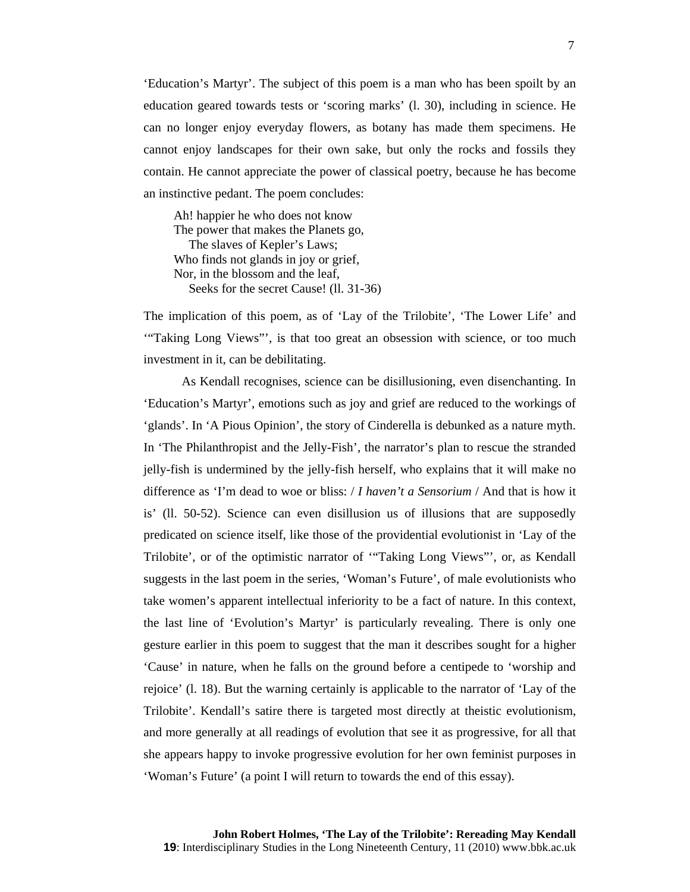'Education's Martyr'. The subject of this poem is a man who has been spoilt by an education geared towards tests or 'scoring marks' (l. 30), including in science. He can no longer enjoy everyday flowers, as botany has made them specimens. He cannot enjoy landscapes for their own sake, but only the rocks and fossils they contain. He cannot appreciate the power of classical poetry, because he has become an instinctive pedant. The poem concludes:

Ah! happier he who does not know The power that makes the Planets go, The slaves of Kepler's Laws; Who finds not glands in joy or grief, Nor, in the blossom and the leaf, Seeks for the secret Cause! (ll. 31-36)

The implication of this poem, as of 'Lay of the Trilobite', 'The Lower Life' and '"Taking Long Views"', is that too great an obsession with science, or too much investment in it, can be debilitating.

As Kendall recognises, science can be disillusioning, even disenchanting. In 'Education's Martyr', emotions such as joy and grief are reduced to the workings of 'glands'. In 'A Pious Opinion', the story of Cinderella is debunked as a nature myth. In 'The Philanthropist and the Jelly-Fish', the narrator's plan to rescue the stranded jelly-fish is undermined by the jelly-fish herself, who explains that it will make no difference as 'I'm dead to woe or bliss: / *I haven't a Sensorium* / And that is how it is' (ll. 50-52). Science can even disillusion us of illusions that are supposedly predicated on science itself, like those of the providential evolutionist in 'Lay of the Trilobite', or of the optimistic narrator of '"Taking Long Views"', or, as Kendall suggests in the last poem in the series, 'Woman's Future', of male evolutionists who take women's apparent intellectual inferiority to be a fact of nature. In this context, the last line of 'Evolution's Martyr' is particularly revealing. There is only one gesture earlier in this poem to suggest that the man it describes sought for a higher 'Cause' in nature, when he falls on the ground before a centipede to 'worship and rejoice' (l. 18). But the warning certainly is applicable to the narrator of 'Lay of the Trilobite'. Kendall's satire there is targeted most directly at theistic evolutionism, and more generally at all readings of evolution that see it as progressive, for all that she appears happy to invoke progressive evolution for her own feminist purposes in 'Woman's Future' (a point I will return to towards the end of this essay).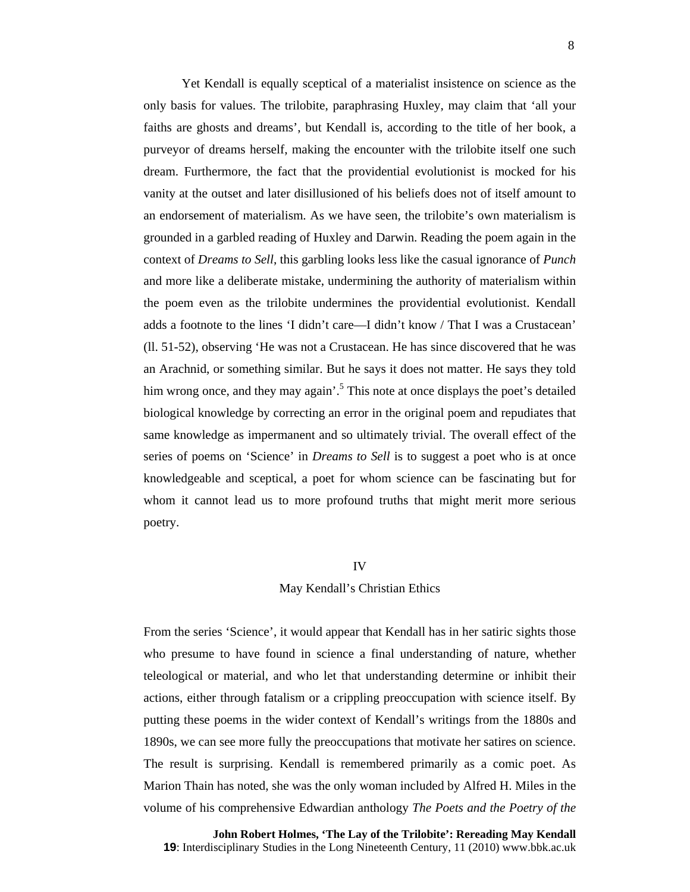Yet Kendall is equally sceptical of a materialist insistence on science as the only basis for values. The trilobite, paraphrasing Huxley, may claim that 'all your faiths are ghosts and dreams', but Kendall is, according to the title of her book, a purveyor of dreams herself, making the encounter with the trilobite itself one such dream. Furthermore, the fact that the providential evolutionist is mocked for his vanity at the outset and later disillusioned of his beliefs does not of itself amount to an endorsement of materialism. As we have seen, the trilobite's own materialism is grounded in a garbled reading of Huxley and Darwin. Reading the poem again in the context of *Dreams to Sell*, this garbling looks less like the casual ignorance of *Punch* and more like a deliberate mistake, undermining the authority of materialism within the poem even as the trilobite undermines the providential evolutionist. Kendall adds a footnote to the lines 'I didn't care—I didn't know / That I was a Crustacean' (ll. 51-52), observing 'He was not a Crustacean. He has since discovered that he was an Arachnid, or something similar. But he says it does not matter. He says they told him wrong once, and they may again'.<sup>5</sup> This note at once displays the poet's detailed biological knowledge by correcting an error in the original poem and repudiates that same knowledge as impermanent and so ultimately trivial. The overall effect of the series of poems on 'Science' in *Dreams to Sell* is to suggest a poet who is at once knowledgeable and sceptical, a poet for whom science can be fascinating but for whom it cannot lead us to more profound truths that might merit more serious poetry.

#### IV

## May Kendall's Christian Ethics

From the series 'Science', it would appear that Kendall has in her satiric sights those who presume to have found in science a final understanding of nature, whether teleological or material, and who let that understanding determine or inhibit their actions, either through fatalism or a crippling preoccupation with science itself. By putting these poems in the wider context of Kendall's writings from the 1880s and 1890s, we can see more fully the preoccupations that motivate her satires on science. The result is surprising. Kendall is remembered primarily as a comic poet. As Marion Thain has noted, she was the only woman included by Alfred H. Miles in the volume of his comprehensive Edwardian anthology *The Poets and the Poetry of the* 

**John Robert Holmes, 'The Lay of the Trilobite': Rereading May Kendall 19**: Interdisciplinary Studies in the Long Nineteenth Century, 11 (2010) www.bbk.ac.uk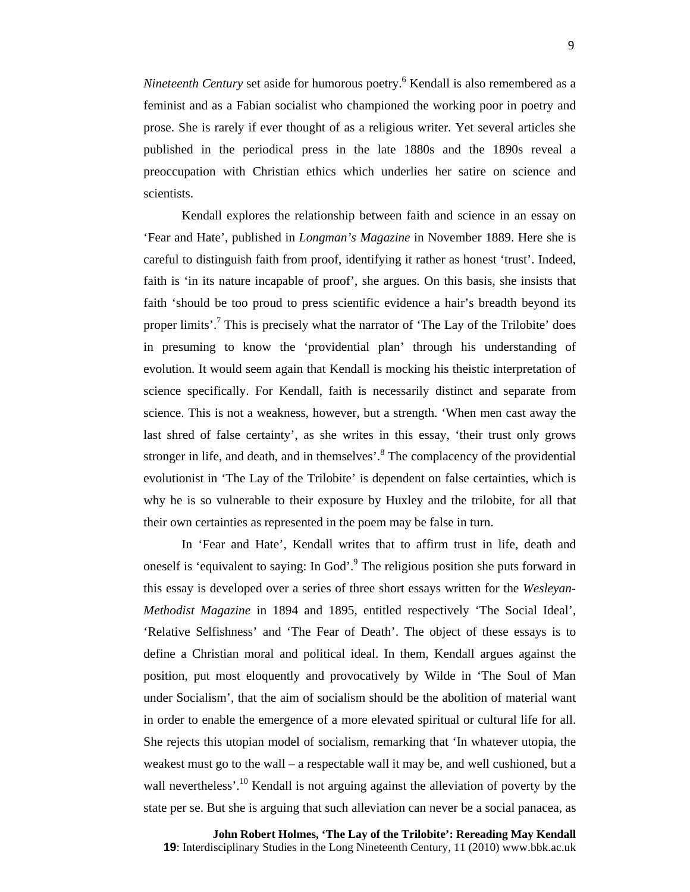Nineteenth Century set aside for humorous poetry.<sup>6</sup> Kendall is also remembered as a feminist and as a Fabian socialist who championed the working poor in poetry and prose. She is rarely if ever thought of as a religious writer. Yet several articles she published in the periodical press in the late 1880s and the 1890s reveal a preoccupation with Christian ethics which underlies her satire on science and scientists.

 Kendall explores the relationship between faith and science in an essay on 'Fear and Hate', published in *Longman's Magazine* in November 1889. Here she is careful to distinguish faith from proof, identifying it rather as honest 'trust'. Indeed, faith is 'in its nature incapable of proof', she argues. On this basis, she insists that faith 'should be too proud to press scientific evidence a hair's breadth beyond its proper limits'.<sup>7</sup> This is precisely what the narrator of 'The Lay of the Trilobite' does in presuming to know the 'providential plan' through his understanding of evolution. It would seem again that Kendall is mocking his theistic interpretation of science specifically. For Kendall, faith is necessarily distinct and separate from science. This is not a weakness, however, but a strength. 'When men cast away the last shred of false certainty', as she writes in this essay, 'their trust only grows stronger in life, and death, and in themselves<sup>'</sup>.<sup>8</sup> The complacency of the providential evolutionist in 'The Lay of the Trilobite' is dependent on false certainties, which is why he is so vulnerable to their exposure by Huxley and the trilobite, for all that their own certainties as represented in the poem may be false in turn.

 In 'Fear and Hate', Kendall writes that to affirm trust in life, death and oneself is 'equivalent to saying: In God'.<sup>9</sup> The religious position she puts forward in this essay is developed over a series of three short essays written for the *Wesleyan-Methodist Magazine* in 1894 and 1895, entitled respectively 'The Social Ideal', 'Relative Selfishness' and 'The Fear of Death'. The object of these essays is to define a Christian moral and political ideal. In them, Kendall argues against the position, put most eloquently and provocatively by Wilde in 'The Soul of Man under Socialism', that the aim of socialism should be the abolition of material want in order to enable the emergence of a more elevated spiritual or cultural life for all. She rejects this utopian model of socialism, remarking that 'In whatever utopia, the weakest must go to the wall – a respectable wall it may be, and well cushioned, but a wall nevertheless'.<sup>10</sup> Kendall is not arguing against the alleviation of poverty by the state per se. But she is arguing that such alleviation can never be a social panacea, as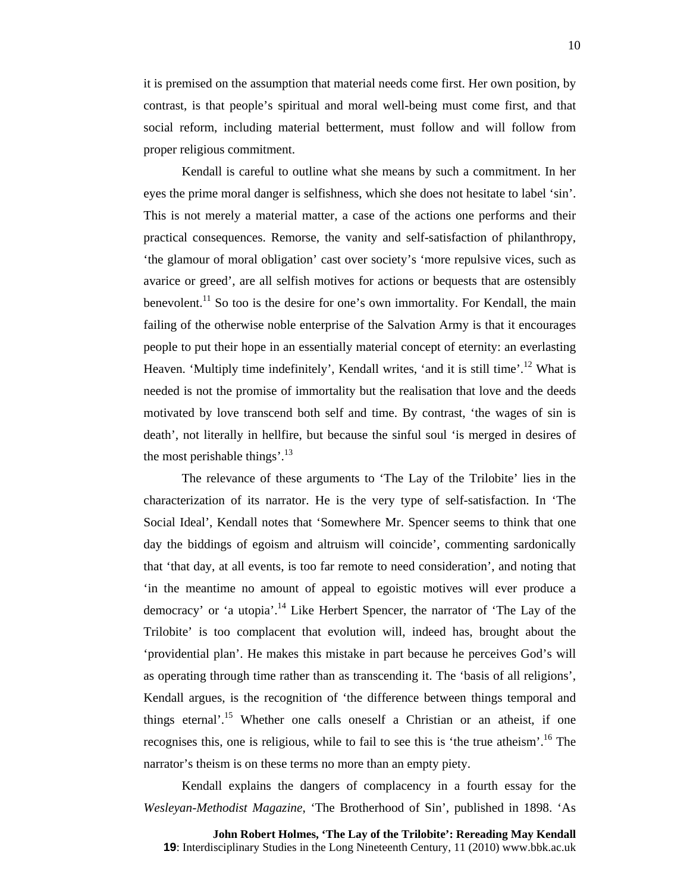it is premised on the assumption that material needs come first. Her own position, by contrast, is that people's spiritual and moral well-being must come first, and that social reform, including material betterment, must follow and will follow from proper religious commitment.

 Kendall is careful to outline what she means by such a commitment. In her eyes the prime moral danger is selfishness, which she does not hesitate to label 'sin'. This is not merely a material matter, a case of the actions one performs and their practical consequences. Remorse, the vanity and self-satisfaction of philanthropy, 'the glamour of moral obligation' cast over society's 'more repulsive vices, such as avarice or greed', are all selfish motives for actions or bequests that are ostensibly benevolent.<sup>11</sup> So too is the desire for one's own immortality. For Kendall, the main failing of the otherwise noble enterprise of the Salvation Army is that it encourages people to put their hope in an essentially material concept of eternity: an everlasting Heaven. 'Multiply time indefinitely', Kendall writes, 'and it is still time'.<sup>12</sup> What is needed is not the promise of immortality but the realisation that love and the deeds motivated by love transcend both self and time. By contrast, 'the wages of sin is death', not literally in hellfire, but because the sinful soul 'is merged in desires of the most perishable things'.<sup>13</sup>

 The relevance of these arguments to 'The Lay of the Trilobite' lies in the characterization of its narrator. He is the very type of self-satisfaction. In 'The Social Ideal', Kendall notes that 'Somewhere Mr. Spencer seems to think that one day the biddings of egoism and altruism will coincide', commenting sardonically that 'that day, at all events, is too far remote to need consideration', and noting that 'in the meantime no amount of appeal to egoistic motives will ever produce a democracy' or 'a utopia'.<sup>14</sup> Like Herbert Spencer, the narrator of 'The Lay of the Trilobite' is too complacent that evolution will, indeed has, brought about the 'providential plan'. He makes this mistake in part because he perceives God's will as operating through time rather than as transcending it. The 'basis of all religions', Kendall argues, is the recognition of 'the difference between things temporal and things eternal'.15 Whether one calls oneself a Christian or an atheist, if one recognises this, one is religious, while to fail to see this is 'the true atheism'.16 The narrator's theism is on these terms no more than an empty piety.

 Kendall explains the dangers of complacency in a fourth essay for the *Wesleyan-Methodist Magazine*, 'The Brotherhood of Sin', published in 1898. 'As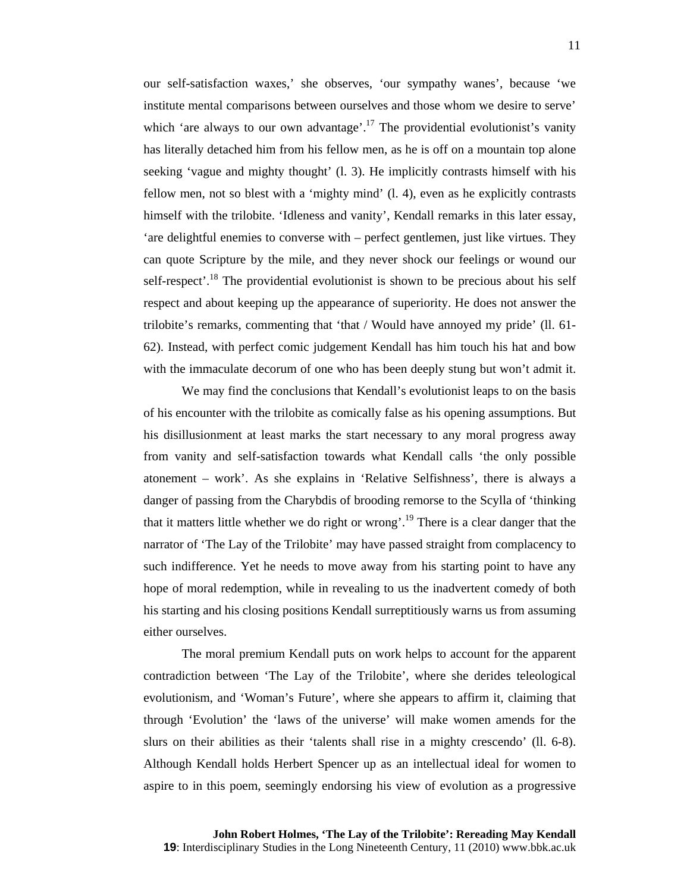our self-satisfaction waxes,' she observes, 'our sympathy wanes', because 'we institute mental comparisons between ourselves and those whom we desire to serve' which 'are always to our own advantage'.<sup>17</sup> The providential evolutionist's vanity has literally detached him from his fellow men, as he is off on a mountain top alone seeking 'vague and mighty thought' (l. 3). He implicitly contrasts himself with his fellow men, not so blest with a 'mighty mind' (l. 4), even as he explicitly contrasts himself with the trilobite. 'Idleness and vanity', Kendall remarks in this later essay, 'are delightful enemies to converse with – perfect gentlemen, just like virtues. They can quote Scripture by the mile, and they never shock our feelings or wound our self-respect'.<sup>18</sup> The providential evolutionist is shown to be precious about his self respect and about keeping up the appearance of superiority. He does not answer the trilobite's remarks, commenting that 'that / Would have annoyed my pride' (ll. 61- 62). Instead, with perfect comic judgement Kendall has him touch his hat and bow with the immaculate decorum of one who has been deeply stung but won't admit it.

 We may find the conclusions that Kendall's evolutionist leaps to on the basis of his encounter with the trilobite as comically false as his opening assumptions. But his disillusionment at least marks the start necessary to any moral progress away from vanity and self-satisfaction towards what Kendall calls 'the only possible atonement – work'. As she explains in 'Relative Selfishness', there is always a danger of passing from the Charybdis of brooding remorse to the Scylla of 'thinking that it matters little whether we do right or wrong'.<sup>19</sup> There is a clear danger that the narrator of 'The Lay of the Trilobite' may have passed straight from complacency to such indifference. Yet he needs to move away from his starting point to have any hope of moral redemption, while in revealing to us the inadvertent comedy of both his starting and his closing positions Kendall surreptitiously warns us from assuming either ourselves.

 The moral premium Kendall puts on work helps to account for the apparent contradiction between 'The Lay of the Trilobite', where she derides teleological evolutionism, and 'Woman's Future', where she appears to affirm it, claiming that through 'Evolution' the 'laws of the universe' will make women amends for the slurs on their abilities as their 'talents shall rise in a mighty crescendo' (ll. 6-8). Although Kendall holds Herbert Spencer up as an intellectual ideal for women to aspire to in this poem, seemingly endorsing his view of evolution as a progressive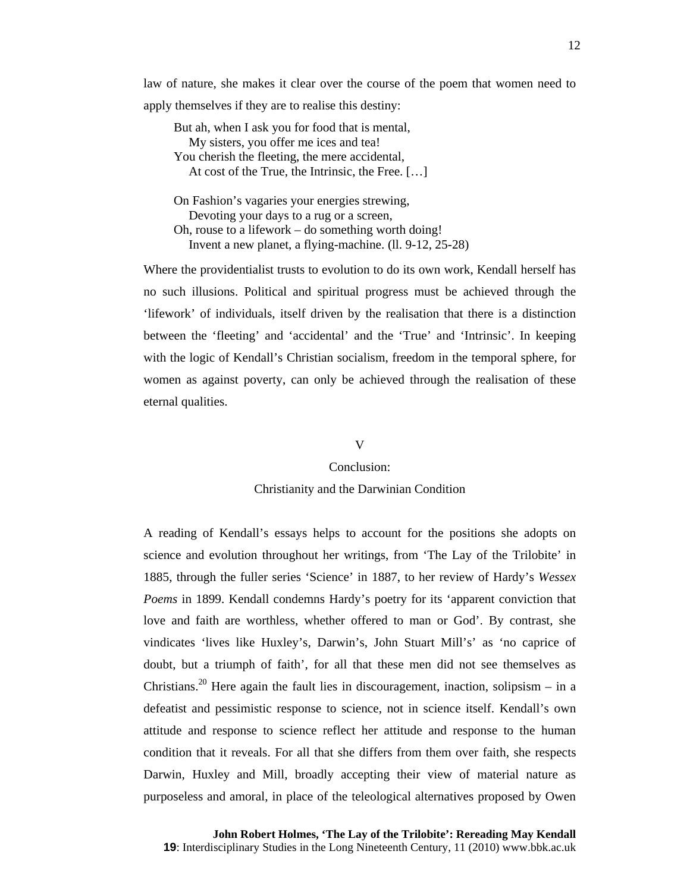law of nature, she makes it clear over the course of the poem that women need to apply themselves if they are to realise this destiny:

But ah, when I ask you for food that is mental, My sisters, you offer me ices and tea! You cherish the fleeting, the mere accidental, At cost of the True, the Intrinsic, the Free. […]

On Fashion's vagaries your energies strewing, Devoting your days to a rug or a screen, Oh, rouse to a lifework – do something worth doing! Invent a new planet, a flying-machine. (ll. 9-12, 25-28)

Where the providentialist trusts to evolution to do its own work, Kendall herself has no such illusions. Political and spiritual progress must be achieved through the 'lifework' of individuals, itself driven by the realisation that there is a distinction between the 'fleeting' and 'accidental' and the 'True' and 'Intrinsic'. In keeping with the logic of Kendall's Christian socialism, freedom in the temporal sphere, for women as against poverty, can only be achieved through the realisation of these eternal qualities.

#### V

# Conclusion: Christianity and the Darwinian Condition

A reading of Kendall's essays helps to account for the positions she adopts on science and evolution throughout her writings, from 'The Lay of the Trilobite' in 1885, through the fuller series 'Science' in 1887, to her review of Hardy's *Wessex Poems* in 1899. Kendall condemns Hardy's poetry for its 'apparent conviction that love and faith are worthless, whether offered to man or God'. By contrast, she vindicates 'lives like Huxley's, Darwin's, John Stuart Mill's' as 'no caprice of doubt, but a triumph of faith', for all that these men did not see themselves as Christians.<sup>20</sup> Here again the fault lies in discouragement, inaction, solipsism – in a defeatist and pessimistic response to science, not in science itself. Kendall's own attitude and response to science reflect her attitude and response to the human condition that it reveals. For all that she differs from them over faith, she respects Darwin, Huxley and Mill, broadly accepting their view of material nature as purposeless and amoral, in place of the teleological alternatives proposed by Owen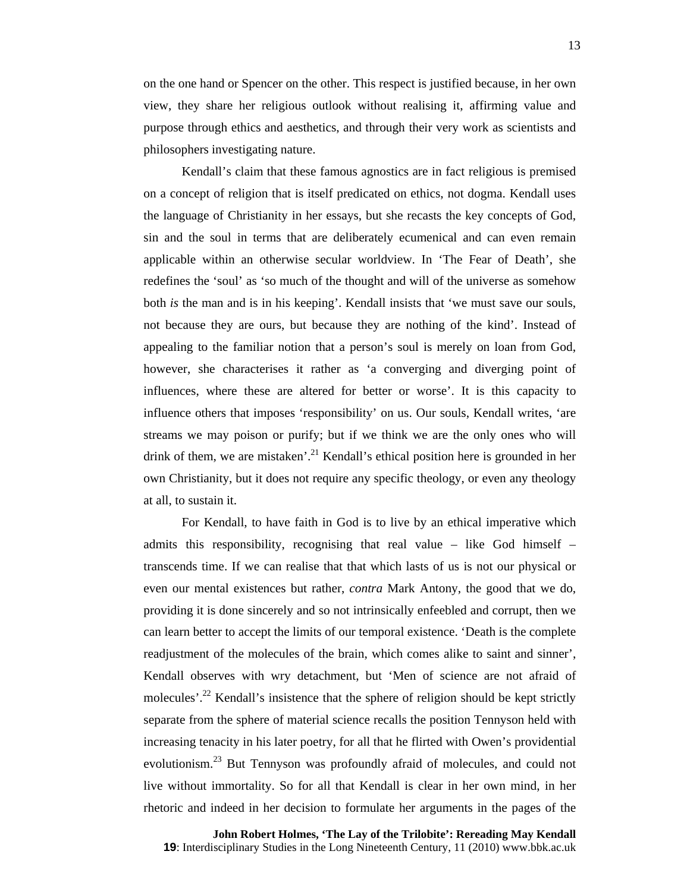on the one hand or Spencer on the other. This respect is justified because, in her own view, they share her religious outlook without realising it, affirming value and purpose through ethics and aesthetics, and through their very work as scientists and philosophers investigating nature.

Kendall's claim that these famous agnostics are in fact religious is premised on a concept of religion that is itself predicated on ethics, not dogma. Kendall uses the language of Christianity in her essays, but she recasts the key concepts of God, sin and the soul in terms that are deliberately ecumenical and can even remain applicable within an otherwise secular worldview. In 'The Fear of Death', she redefines the 'soul' as 'so much of the thought and will of the universe as somehow both *is* the man and is in his keeping'. Kendall insists that 'we must save our souls, not because they are ours, but because they are nothing of the kind'. Instead of appealing to the familiar notion that a person's soul is merely on loan from God, however, she characterises it rather as 'a converging and diverging point of influences, where these are altered for better or worse'. It is this capacity to influence others that imposes 'responsibility' on us. Our souls, Kendall writes, 'are streams we may poison or purify; but if we think we are the only ones who will drink of them, we are mistaken'.<sup>21</sup> Kendall's ethical position here is grounded in her own Christianity, but it does not require any specific theology, or even any theology at all, to sustain it.

For Kendall, to have faith in God is to live by an ethical imperative which admits this responsibility, recognising that real value – like God himself – transcends time. If we can realise that that which lasts of us is not our physical or even our mental existences but rather, *contra* Mark Antony, the good that we do, providing it is done sincerely and so not intrinsically enfeebled and corrupt, then we can learn better to accept the limits of our temporal existence. 'Death is the complete readjustment of the molecules of the brain, which comes alike to saint and sinner', Kendall observes with wry detachment, but 'Men of science are not afraid of molecules'.<sup>22</sup> Kendall's insistence that the sphere of religion should be kept strictly separate from the sphere of material science recalls the position Tennyson held with increasing tenacity in his later poetry, for all that he flirted with Owen's providential evolutionism.23 But Tennyson was profoundly afraid of molecules, and could not live without immortality. So for all that Kendall is clear in her own mind, in her rhetoric and indeed in her decision to formulate her arguments in the pages of the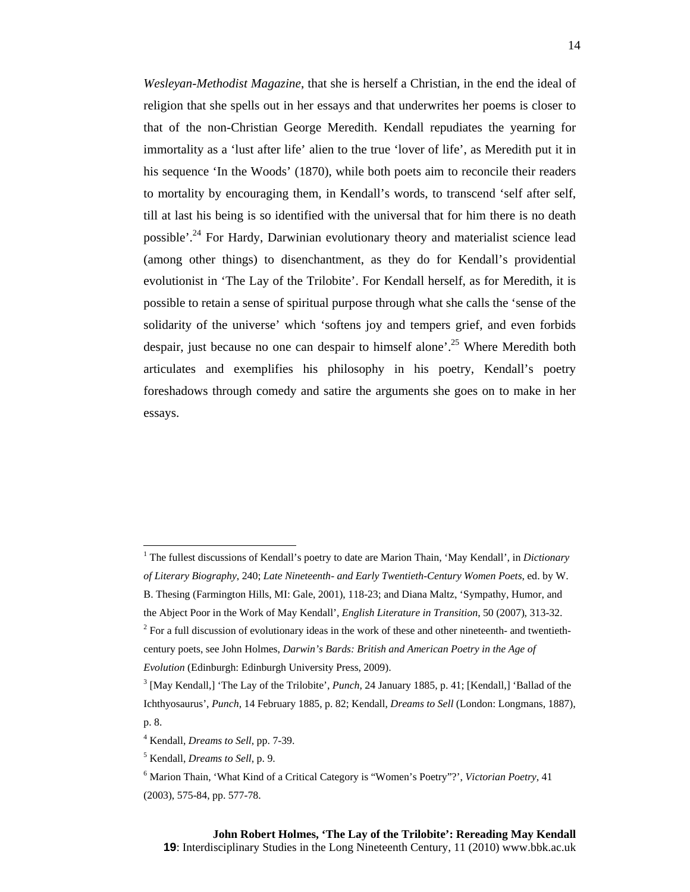*Wesleyan-Methodist Magazine*, that she is herself a Christian, in the end the ideal of religion that she spells out in her essays and that underwrites her poems is closer to that of the non-Christian George Meredith. Kendall repudiates the yearning for immortality as a 'lust after life' alien to the true 'lover of life', as Meredith put it in his sequence 'In the Woods' (1870), while both poets aim to reconcile their readers to mortality by encouraging them, in Kendall's words, to transcend 'self after self, till at last his being is so identified with the universal that for him there is no death possible'.24 For Hardy, Darwinian evolutionary theory and materialist science lead (among other things) to disenchantment, as they do for Kendall's providential evolutionist in 'The Lay of the Trilobite'. For Kendall herself, as for Meredith, it is possible to retain a sense of spiritual purpose through what she calls the 'sense of the solidarity of the universe' which 'softens joy and tempers grief, and even forbids despair, just because no one can despair to himself alone'.<sup>25</sup> Where Meredith both articulates and exemplifies his philosophy in his poetry, Kendall's poetry foreshadows through comedy and satire the arguments she goes on to make in her essays.

 $\overline{a}$ 

<sup>&</sup>lt;sup>1</sup> The fullest discussions of Kendall's poetry to date are Marion Thain, 'May Kendall', in *Dictionary of Literary Biography*, 240; *Late Nineteenth- and Early Twentieth-Century Women Poets*, ed. by W. B. Thesing (Farmington Hills, MI: Gale, 2001), 118-23; and Diana Maltz, 'Sympathy, Humor, and the Abject Poor in the Work of May Kendall', *English Literature in Transition*, 50 (2007), 313-32.  $2^2$  For a full discussion of evolutionary ideas in the work of these and other nineteenth- and twentieth-

century poets, see John Holmes, *Darwin's Bards: British and American Poetry in the Age of Evolution* (Edinburgh: Edinburgh University Press, 2009).

<sup>&</sup>lt;sup>3</sup> [May Kendall,] 'The Lay of the Trilobite', *Punch*, 24 January 1885, p. 41; [Kendall,] 'Ballad of the Ichthyosaurus', *Punch*, 14 February 1885, p. 82; Kendall, *Dreams to Sell* (London: Longmans, 1887), p. 8.

<sup>4</sup> Kendall, *Dreams to Sell*, pp. 7-39.

<sup>5</sup> Kendall, *Dreams to Sell*, p. 9.

<sup>6</sup> Marion Thain, 'What Kind of a Critical Category is "Women's Poetry"?', *Victorian Poetry*, 41 (2003), 575-84, pp. 577-78.